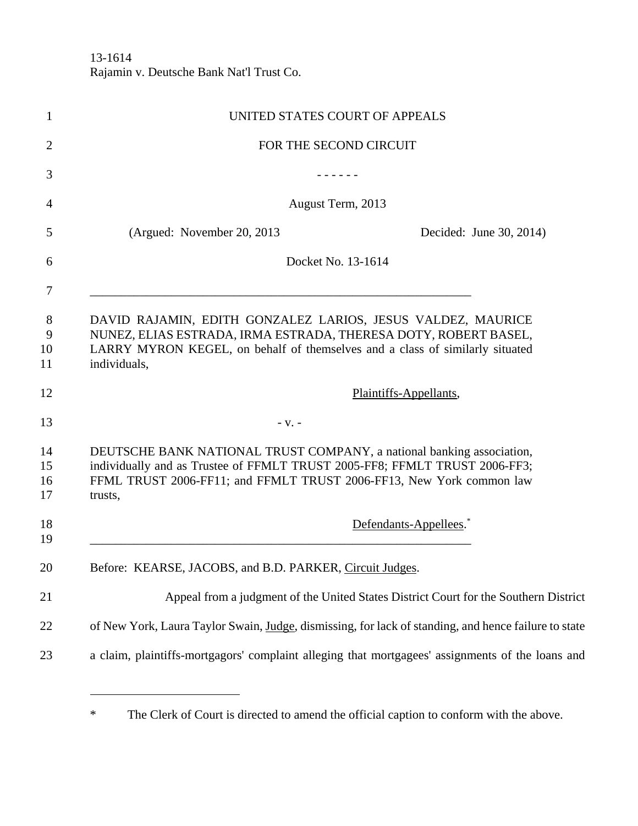13-1614 Rajamin v. Deutsche Bank Nat'l Trust Co.

| $\mathbf{1}$         | UNITED STATES COURT OF APPEALS                                                                                                                                                                                                         |
|----------------------|----------------------------------------------------------------------------------------------------------------------------------------------------------------------------------------------------------------------------------------|
| $\overline{2}$       | FOR THE SECOND CIRCUIT                                                                                                                                                                                                                 |
| 3                    |                                                                                                                                                                                                                                        |
| 4                    | August Term, 2013                                                                                                                                                                                                                      |
| 5                    | (Argued: November 20, 2013)<br>Decided: June 30, 2014)                                                                                                                                                                                 |
| 6<br>7               | Docket No. 13-1614                                                                                                                                                                                                                     |
| 8<br>9<br>10<br>11   | DAVID RAJAMIN, EDITH GONZALEZ LARIOS, JESUS VALDEZ, MAURICE<br>NUNEZ, ELIAS ESTRADA, IRMA ESTRADA, THERESA DOTY, ROBERT BASEL,<br>LARRY MYRON KEGEL, on behalf of themselves and a class of similarly situated<br>individuals,         |
| 12                   | Plaintiffs-Appellants,                                                                                                                                                                                                                 |
| 13                   | $-V. -$                                                                                                                                                                                                                                |
| 14<br>15<br>16<br>17 | DEUTSCHE BANK NATIONAL TRUST COMPANY, a national banking association,<br>individually and as Trustee of FFMLT TRUST 2005-FF8; FFMLT TRUST 2006-FF3;<br>FFML TRUST 2006-FF11; and FFMLT TRUST 2006-FF13, New York common law<br>trusts, |
| 18<br>19             | Defendants-Appellees. <sup>*</sup>                                                                                                                                                                                                     |
| 20                   | Before: KEARSE, JACOBS, and B.D. PARKER, Circuit Judges.                                                                                                                                                                               |
| 21                   | Appeal from a judgment of the United States District Court for the Southern District                                                                                                                                                   |
| 22                   | of New York, Laura Taylor Swain, Judge, dismissing, for lack of standing, and hence failure to state                                                                                                                                   |
| 23                   | a claim, plaintiffs-mortgagors' complaint alleging that mortgagees' assignments of the loans and                                                                                                                                       |
|                      |                                                                                                                                                                                                                                        |

<sup>\*</sup> The Clerk of Court is directed to amend the official caption to conform with the above.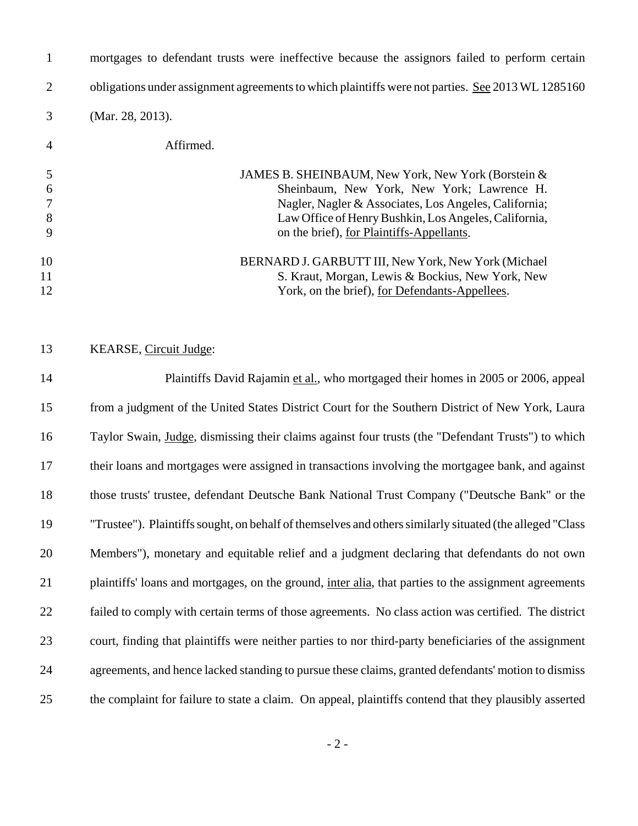| $\mathbf{1}$                           | mortgages to defendant trusts were ineffective because the assignors failed to perform certain                                                                                                                                                                          |
|----------------------------------------|-------------------------------------------------------------------------------------------------------------------------------------------------------------------------------------------------------------------------------------------------------------------------|
| $\overline{2}$                         | obligations under assignment agreements to which plaintiffs were not parties. See 2013 WL 1285160                                                                                                                                                                       |
| 3                                      | (Mar. 28, 2013).                                                                                                                                                                                                                                                        |
| 4                                      | Affirmed.                                                                                                                                                                                                                                                               |
| 5<br>6<br>$\overline{7}$<br>$8\,$<br>9 | JAMES B. SHEINBAUM, New York, New York (Borstein &<br>Sheinbaum, New York, New York; Lawrence H.<br>Nagler, Nagler & Associates, Los Angeles, California;<br>Law Office of Henry Bushkin, Los Angeles, California,<br>on the brief), <u>for Plaintiffs-Appellants</u> . |
| 10<br>11<br>12                         | BERNARD J. GARBUTT III, New York, New York (Michael<br>S. Kraut, Morgan, Lewis & Bockius, New York, New<br>York, on the brief), for Defendants-Appellees.                                                                                                               |
| 13                                     | KEARSE, Circuit Judge:                                                                                                                                                                                                                                                  |
| 14                                     | Plaintiffs David Rajamin et al., who mortgaged their homes in 2005 or 2006, appeal                                                                                                                                                                                      |
| 15                                     | from a judgment of the United States District Court for the Southern District of New York, Laura                                                                                                                                                                        |
| 16                                     | Taylor Swain, Judge, dismissing their claims against four trusts (the "Defendant Trusts") to which                                                                                                                                                                      |
| 17                                     | their loans and mortgages were assigned in transactions involving the mortgagee bank, and against                                                                                                                                                                       |
| 18                                     | those trusts' trustee, defendant Deutsche Bank National Trust Company ("Deutsche Bank" or the                                                                                                                                                                           |
| 19                                     | "Trustee"). Plaintiffs sought, on behalf of themselves and others similarly situated (the alleged "Class"                                                                                                                                                               |
| 20                                     | Members"), monetary and equitable relief and a judgment declaring that defendants do not own                                                                                                                                                                            |
| 21                                     | plaintiffs' loans and mortgages, on the ground, inter alia, that parties to the assignment agreements                                                                                                                                                                   |
| 22                                     | failed to comply with certain terms of those agreements. No class action was certified. The district                                                                                                                                                                    |
| 23                                     | court, finding that plaintiffs were neither parties to nor third-party beneficiaries of the assignment                                                                                                                                                                  |
| 24                                     | agreements, and hence lacked standing to pursue these claims, granted defendants' motion to dismiss                                                                                                                                                                     |

the complaint for failure to state a claim. On appeal, plaintiffs contend that they plausibly asserted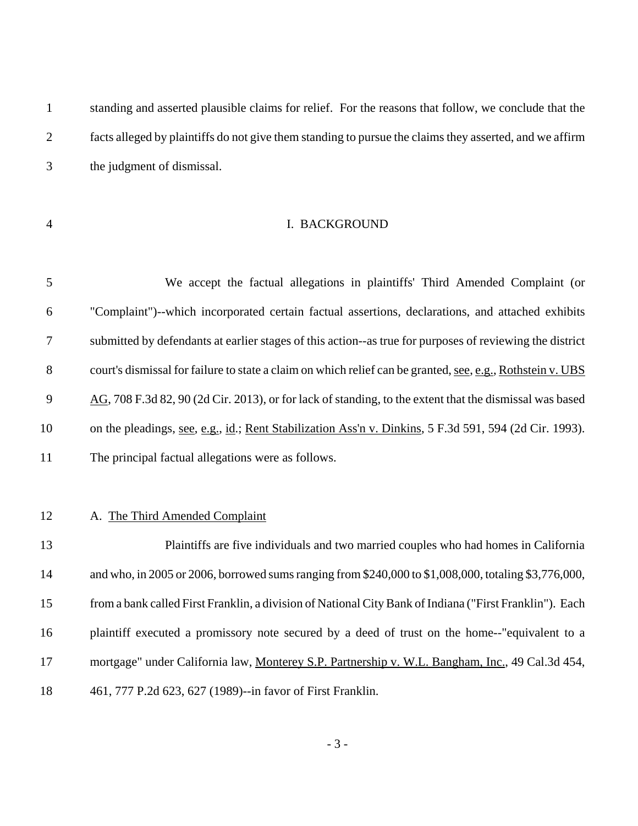| $\mathbf{1}$   | standing and asserted plausible claims for relief. For the reasons that follow, we conclude that the       |
|----------------|------------------------------------------------------------------------------------------------------------|
| $\overline{2}$ | facts alleged by plaintiffs do not give them standing to pursue the claims they asserted, and we affirm    |
| 3              | the judgment of dismissal.                                                                                 |
|                |                                                                                                            |
| $\overline{4}$ | I. BACKGROUND                                                                                              |
|                |                                                                                                            |
| 5              | We accept the factual allegations in plaintiffs' Third Amended Complaint (or                               |
| 6              | "Complaint")--which incorporated certain factual assertions, declarations, and attached exhibits           |
| 7              | submitted by defendants at earlier stages of this action--as true for purposes of reviewing the district   |
| 8              | court's dismissal for failure to state a claim on which relief can be granted, see, e.g., Rothstein v. UBS |
| 9              | AG, 708 F.3d 82, 90 (2d Cir. 2013), or for lack of standing, to the extent that the dismissal was based    |
| 10             | on the pleadings, see, e.g., id.; Rent Stabilization Ass'n v. Dinkins, 5 F.3d 591, 594 (2d Cir. 1993).     |
| 11             | The principal factual allegations were as follows.                                                         |
|                |                                                                                                            |
| 12             | A. The Third Amended Complaint                                                                             |
| 13             | Plaintiffs are five individuals and two married couples who had homes in California                        |
| 14             | and who, in 2005 or 2006, borrowed sums ranging from \$240,000 to \$1,008,000, totaling \$3,776,000,       |
| 15             | from a bank called First Franklin, a division of National City Bank of Indiana ("First Franklin"). Each    |
| 16             | plaintiff executed a promissory note secured by a deed of trust on the home--"equivalent to a              |
| 17             | mortgage" under California law, Monterey S.P. Partnership v. W.L. Bangham, Inc., 49 Cal.3d 454,            |
| 18             | 461, 777 P.2d 623, 627 (1989)--in favor of First Franklin.                                                 |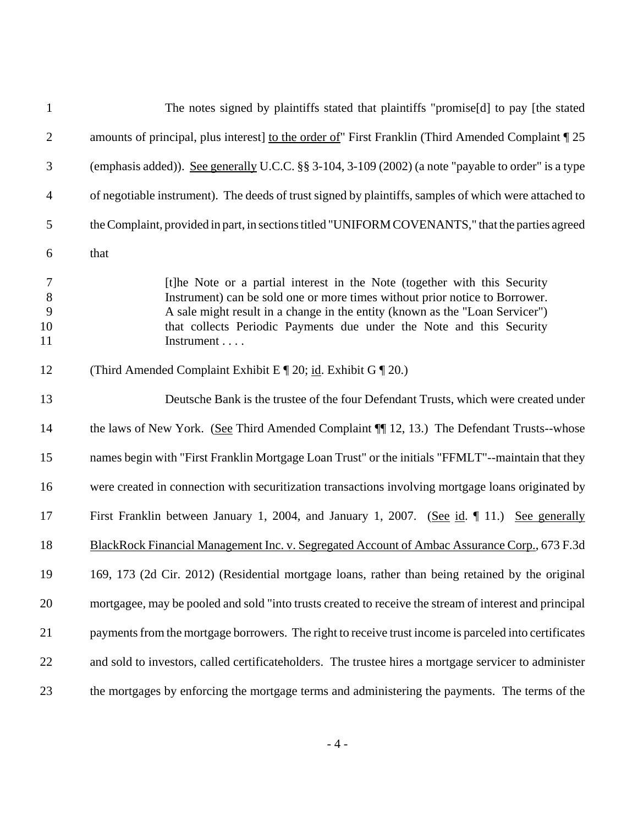| $\mathbf{1}$                       | The notes signed by plaintiffs stated that plaintiffs "promise[d] to pay [the stated                                                                                                                                                                                                                                           |
|------------------------------------|--------------------------------------------------------------------------------------------------------------------------------------------------------------------------------------------------------------------------------------------------------------------------------------------------------------------------------|
| $\mathbf{2}$                       | amounts of principal, plus interest] to the order of" First Franklin (Third Amended Complaint 125                                                                                                                                                                                                                              |
| 3                                  | (emphasis added)). See generally U.C.C. §§ 3-104, 3-109 (2002) (a note "payable to order" is a type                                                                                                                                                                                                                            |
| $\overline{4}$                     | of negotiable instrument). The deeds of trust signed by plaintiffs, samples of which were attached to                                                                                                                                                                                                                          |
| 5                                  | the Complaint, provided in part, in sections titled "UNIFORM COVENANTS," that the parties agreed                                                                                                                                                                                                                               |
| 6                                  | that                                                                                                                                                                                                                                                                                                                           |
| $\tau$<br>$\,8\,$<br>9<br>10<br>11 | [t]he Note or a partial interest in the Note (together with this Security<br>Instrument) can be sold one or more times without prior notice to Borrower.<br>A sale might result in a change in the entity (known as the "Loan Servicer")<br>that collects Periodic Payments due under the Note and this Security<br>Instrument |
| 12                                 | (Third Amended Complaint Exhibit E $\P$ 20; id. Exhibit G $\P$ 20.)                                                                                                                                                                                                                                                            |
| 13                                 | Deutsche Bank is the trustee of the four Defendant Trusts, which were created under                                                                                                                                                                                                                                            |
| 14                                 | the laws of New York. (See Third Amended Complaint ¶ 12, 13.) The Defendant Trusts--whose                                                                                                                                                                                                                                      |
| 15                                 | names begin with "First Franklin Mortgage Loan Trust" or the initials "FFMLT"--maintain that they                                                                                                                                                                                                                              |
| 16                                 | were created in connection with securitization transactions involving mortgage loans originated by                                                                                                                                                                                                                             |
| 17                                 | First Franklin between January 1, 2004, and January 1, 2007. (See id. 11.) See generally                                                                                                                                                                                                                                       |
| 18                                 | BlackRock Financial Management Inc. v. Segregated Account of Ambac Assurance Corp., 673 F.3d                                                                                                                                                                                                                                   |
| 19                                 | 169, 173 (2d Cir. 2012) (Residential mortgage loans, rather than being retained by the original                                                                                                                                                                                                                                |
| 20                                 | mortgagee, may be pooled and sold "into trusts created to receive the stream of interest and principal                                                                                                                                                                                                                         |
| 21                                 | payments from the mortgage borrowers. The right to receive trust income is parceled into certificates                                                                                                                                                                                                                          |
| 22                                 | and sold to investors, called certificateholders. The trustee hires a mortgage servicer to administer                                                                                                                                                                                                                          |
| 23                                 | the mortgages by enforcing the mortgage terms and administering the payments. The terms of the                                                                                                                                                                                                                                 |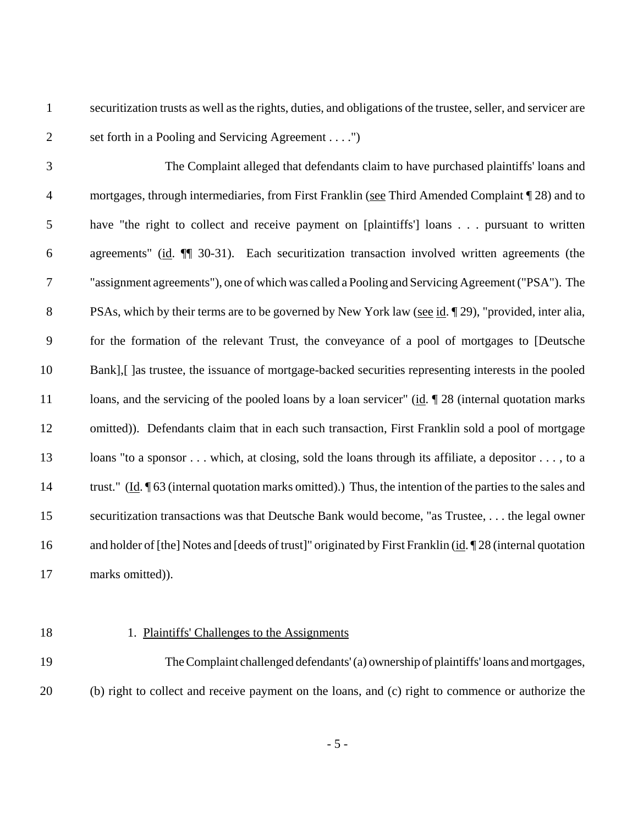securitization trusts as well as the rights, duties, and obligations of the trustee, seller, and servicer are set forth in a Pooling and Servicing Agreement . . . .")

 The Complaint alleged that defendants claim to have purchased plaintiffs' loans and mortgages, through intermediaries, from First Franklin (see Third Amended Complaint ¶ 28) and to have "the right to collect and receive payment on [plaintiffs'] loans . . . pursuant to written agreements" (id. ¶¶ 30-31). Each securitization transaction involved written agreements (the "assignment agreements"), one of which was called a Pooling and Servicing Agreement ("PSA"). The PSAs, which by their terms are to be governed by New York law (see id. ¶ 29), "provided, inter alia, for the formation of the relevant Trust, the conveyance of a pool of mortgages to [Deutsche Bank],[ ]as trustee, the issuance of mortgage-backed securities representing interests in the pooled 11 loans, and the servicing of the pooled loans by a loan servicer" (id.  $\sqrt{28}$  (internal quotation marks omitted)). Defendants claim that in each such transaction, First Franklin sold a pool of mortgage 13 loans "to a sponsor . . . which, at closing, sold the loans through its affiliate, a depositor . . . , to a trust." (Id. ¶ 63 (internal quotation marks omitted).) Thus, the intention of the parties to the sales and securitization transactions was that Deutsche Bank would become, "as Trustee, . . . the legal owner 16 and holder of [the] Notes and [deeds of trust]" originated by First Franklin (id. 128 (internal quotation

marks omitted)).

## 1. Plaintiffs' Challenges to the Assignments

 The Complaint challenged defendants' (a) ownership of plaintiffs' loans and mortgages, (b) right to collect and receive payment on the loans, and (c) right to commence or authorize the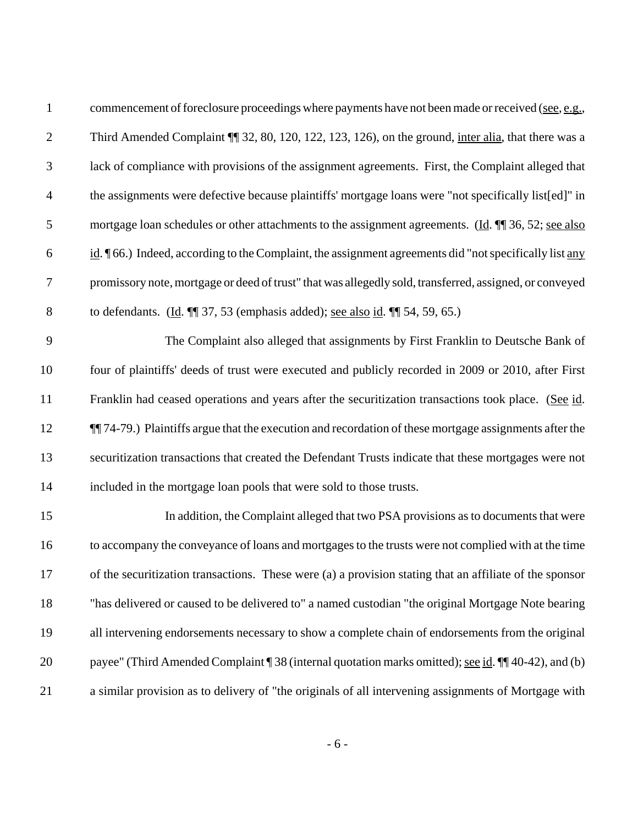| $\mathbf{1}$   | commencement of foreclosure proceedings where payments have not been made or received (see, e.g.,           |
|----------------|-------------------------------------------------------------------------------------------------------------|
| $\mathbf{2}$   | Third Amended Complaint ¶ 32, 80, 120, 122, 123, 126), on the ground, inter alia, that there was a          |
| 3              | lack of compliance with provisions of the assignment agreements. First, the Complaint alleged that          |
| $\overline{4}$ | the assignments were defective because plaintiffs' mortgage loans were "not specifically list[ed]" in       |
| 5              | mortgage loan schedules or other attachments to the assignment agreements. (Id. ¶ 36, 52; see also          |
| 6              | id. ¶66.) Indeed, according to the Complaint, the assignment agreements did "not specifically list any      |
| $\tau$         | promissory note, mortgage or deed of trust" that was allegedly sold, transferred, assigned, or conveyed     |
| $8\,$          | to defendants. $(\underline{Id}$ . $\P\P$ 37, 53 (emphasis added); <u>see also id</u> . $\P\P$ 54, 59, 65.) |
| 9              | The Complaint also alleged that assignments by First Franklin to Deutsche Bank of                           |
| 10             | four of plaintiffs' deeds of trust were executed and publicly recorded in 2009 or 2010, after First         |
| 11             | Franklin had ceased operations and years after the securitization transactions took place. (See id.         |
| 12             | [1] 74-79.) Plaintiffs argue that the execution and recordation of these mortgage assignments after the     |
| 13             | securitization transactions that created the Defendant Trusts indicate that these mortgages were not        |
| 14             | included in the mortgage loan pools that were sold to those trusts.                                         |
| 15             | In addition, the Complaint alleged that two PSA provisions as to documents that were                        |
| 16             | to accompany the conveyance of loans and mortgages to the trusts were not complied with at the time         |
| 17             | of the securitization transactions. These were (a) a provision stating that an affiliate of the sponsor     |
| 18             | "has delivered or caused to be delivered to" a named custodian "the original Mortgage Note bearing          |
| 19             | all intervening endorsements necessary to show a complete chain of endorsements from the original           |
| 20             | payee" (Third Amended Complaint 138 (internal quotation marks omitted); see id. 1140-42), and (b)           |
| 21             | a similar provision as to delivery of "the originals of all intervening assignments of Mortgage with        |
|                |                                                                                                             |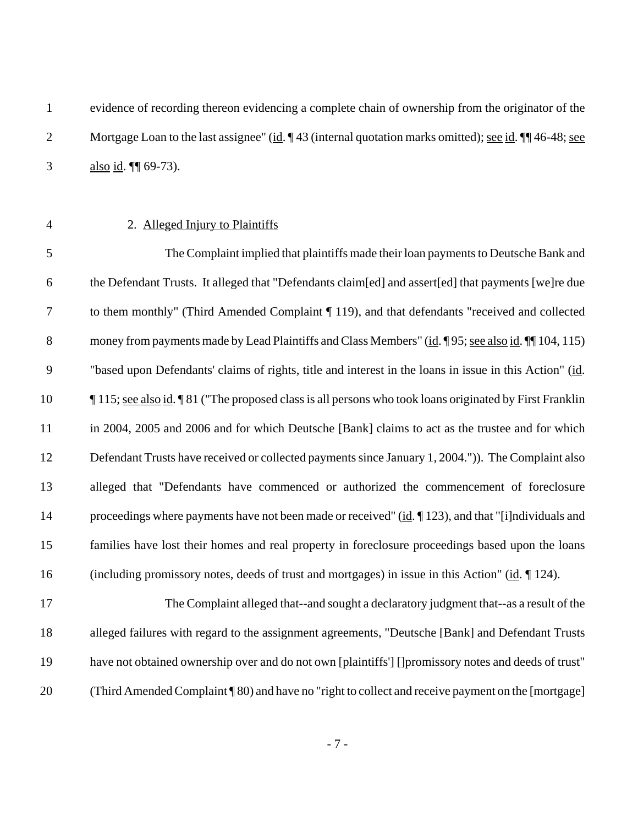| evidence of recording thereon evidencing a complete chain of ownership from the originator of the                    |
|----------------------------------------------------------------------------------------------------------------------|
| Mortgage Loan to the last assignee" (id. $\P$ 43 (internal quotation marks omitted); <u>see id</u> . $\P$ 46-48; see |
| <u>also id</u> . $\P$ 69-73).                                                                                        |

### 2. Alleged Injury to Plaintiffs

 The Complaint implied that plaintiffs made their loan payments to Deutsche Bank and the Defendant Trusts. It alleged that "Defendants claim[ed] and assert[ed] that payments [we]re due to them monthly" (Third Amended Complaint ¶ 119), and that defendants "received and collected 8 money from payments made by Lead Plaintiffs and Class Members" (id. ¶ 95; see also id. ¶ | 104, 115) "based upon Defendants' claims of rights, title and interest in the loans in issue in this Action" (id. ¶ 115; see also id. ¶ 81 ("The proposed class is all persons who took loans originated by First Franklin 11 in 2004, 2005 and 2006 and for which Deutsche [Bank] claims to act as the trustee and for which Defendant Trusts have received or collected payments since January 1, 2004.")). The Complaint also alleged that "Defendants have commenced or authorized the commencement of foreclosure 14 proceedings where payments have not been made or received" (id. ¶ 123), and that "[i]ndividuals and families have lost their homes and real property in foreclosure proceedings based upon the loans (including promissory notes, deeds of trust and mortgages) in issue in this Action" (id. ¶ 124).

 The Complaint alleged that--and sought a declaratory judgment that--as a result of the alleged failures with regard to the assignment agreements, "Deutsche [Bank] and Defendant Trusts have not obtained ownership over and do not own [plaintiffs'] []promissory notes and deeds of trust" (Third Amended Complaint ¶ 80) and have no "right to collect and receive payment on the [mortgage]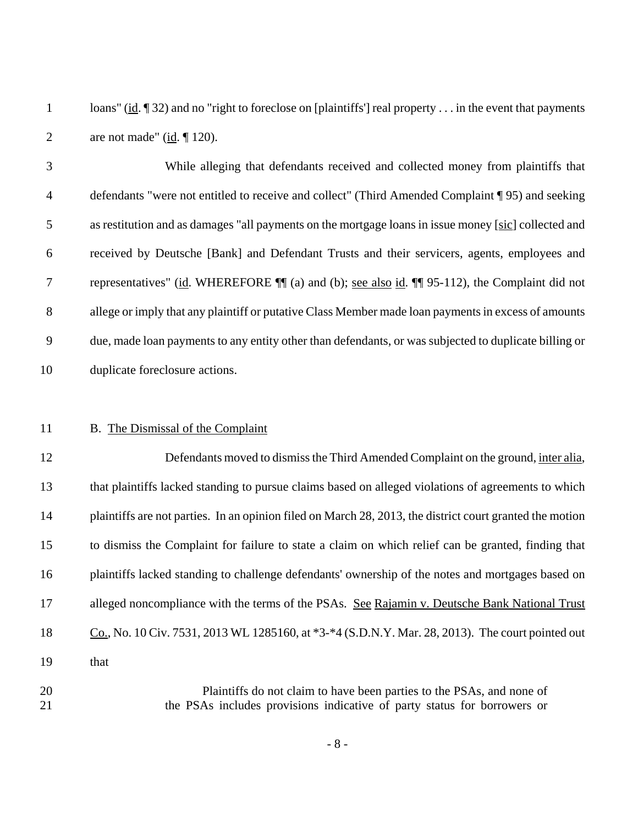1 loans" (id. ¶ 32) and no "right to foreclose on [plaintiffs'] real property . . . in the event that payments 2 are not made" ( $\underline{\text{id}}$ .  $\P$  120).

 While alleging that defendants received and collected money from plaintiffs that defendants "were not entitled to receive and collect" (Third Amended Complaint ¶ 95) and seeking as restitution and as damages "all payments on the mortgage loans in issue money [sic] collected and received by Deutsche [Bank] and Defendant Trusts and their servicers, agents, employees and representatives" (id. WHEREFORE ¶¶ (a) and (b); see also id. ¶¶ 95-112), the Complaint did not allege or imply that any plaintiff or putative Class Member made loan payments in excess of amounts due, made loan payments to any entity other than defendants, or was subjected to duplicate billing or duplicate foreclosure actions.

#### B. The Dismissal of the Complaint

 Defendants moved to dismiss the Third Amended Complaint on the ground, inter alia, that plaintiffs lacked standing to pursue claims based on alleged violations of agreements to which plaintiffs are not parties. In an opinion filed on March 28, 2013, the district court granted the motion to dismiss the Complaint for failure to state a claim on which relief can be granted, finding that plaintiffs lacked standing to challenge defendants' ownership of the notes and mortgages based on alleged noncompliance with the terms of the PSAs. See Rajamin v. Deutsche Bank National Trust 18 Co., No. 10 Civ. 7531, 2013 WL 1285160, at \*3-\*4 (S.D.N.Y. Mar. 28, 2013). The court pointed out that Plaintiffs do not claim to have been parties to the PSAs, and none of

the PSAs includes provisions indicative of party status for borrowers or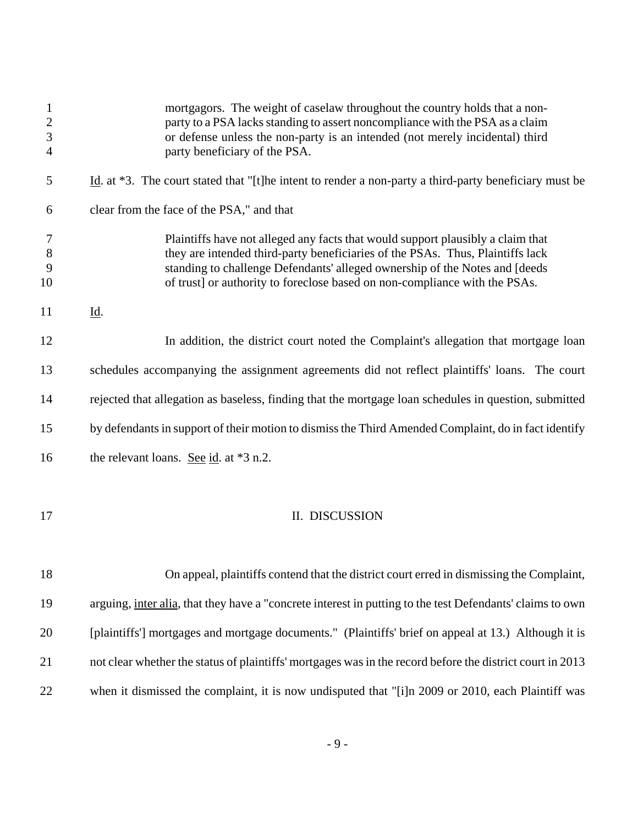| $\mathbf{1}$<br>$\overline{c}$<br>$\mathfrak{Z}$<br>$\overline{4}$ | mortgagors. The weight of caselaw throughout the country holds that a non-<br>party to a PSA lacks standing to assert noncompliance with the PSA as a claim<br>or defense unless the non-party is an intended (not merely incidental) third<br>party beneficiary of the PSA.                                                   |
|--------------------------------------------------------------------|--------------------------------------------------------------------------------------------------------------------------------------------------------------------------------------------------------------------------------------------------------------------------------------------------------------------------------|
| 5                                                                  | Id. at $*3$ . The court stated that "[t]he intent to render a non-party a third-party beneficiary must be                                                                                                                                                                                                                      |
| 6                                                                  | clear from the face of the PSA," and that                                                                                                                                                                                                                                                                                      |
| 7<br>8<br>9<br>10                                                  | Plaintiffs have not alleged any facts that would support plausibly a claim that<br>they are intended third-party beneficiaries of the PSAs. Thus, Plaintiffs lack<br>standing to challenge Defendants' alleged ownership of the Notes and [deeds<br>of trust] or authority to foreclose based on non-compliance with the PSAs. |
| 11                                                                 | <u>Id</u> .                                                                                                                                                                                                                                                                                                                    |
| 12                                                                 | In addition, the district court noted the Complaint's allegation that mortgage loan                                                                                                                                                                                                                                            |
| 13                                                                 | schedules accompanying the assignment agreements did not reflect plaintiffs' loans. The court                                                                                                                                                                                                                                  |
| 14                                                                 | rejected that allegation as baseless, finding that the mortgage loan schedules in question, submitted                                                                                                                                                                                                                          |
| 15                                                                 | by defendants in support of their motion to dismiss the Third Amended Complaint, do in fact identify                                                                                                                                                                                                                           |
| 16                                                                 | the relevant loans. See id. at $*3$ n.2.                                                                                                                                                                                                                                                                                       |
| 17                                                                 | II. DISCUSSION                                                                                                                                                                                                                                                                                                                 |
| 18                                                                 | On appeal, plaintiffs contend that the district court erred in dismissing the Complaint,                                                                                                                                                                                                                                       |
| 19                                                                 | arguing, inter alia, that they have a "concrete interest in putting to the test Defendants' claims to own                                                                                                                                                                                                                      |
| 20                                                                 | [plaintiffs'] mortgages and mortgage documents." (Plaintiffs' brief on appeal at 13.) Although it is                                                                                                                                                                                                                           |
| 21                                                                 | not clear whether the status of plaintiffs' mortgages was in the record before the district court in 2013                                                                                                                                                                                                                      |
| 22                                                                 | when it dismissed the complaint, it is now undisputed that "[i]n 2009 or 2010, each Plaintiff was                                                                                                                                                                                                                              |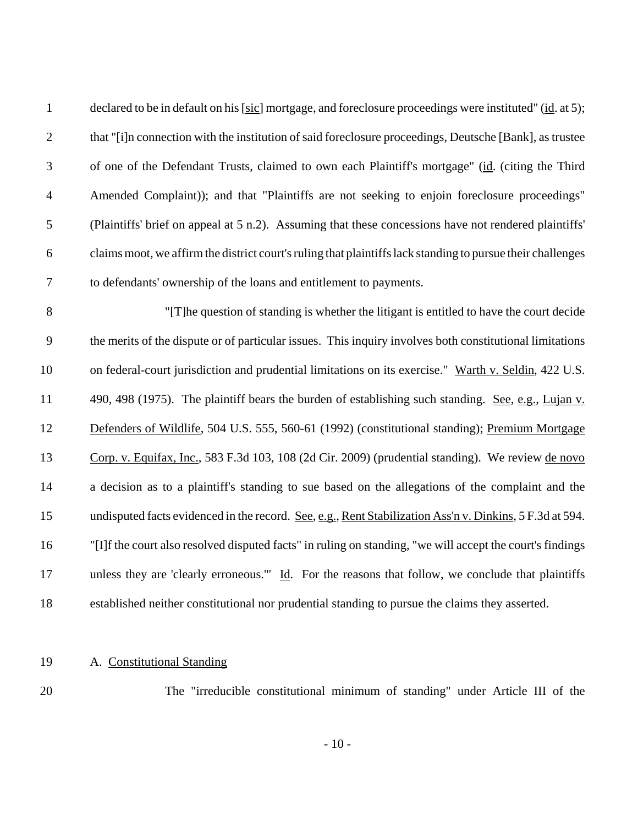| $\mathbf{1}$     | declared to be in default on his [sic] mortgage, and foreclosure proceedings were instituted" (id. at 5);   |
|------------------|-------------------------------------------------------------------------------------------------------------|
| $\mathbf{2}$     | that "[i]n connection with the institution of said foreclosure proceedings, Deutsche [Bank], as trustee     |
| $\mathfrak{Z}$   | of one of the Defendant Trusts, claimed to own each Plaintiff's mortgage" (id. (citing the Third            |
| $\overline{4}$   | Amended Complaint)); and that "Plaintiffs are not seeking to enjoin foreclosure proceedings"                |
| $\mathfrak{S}$   | (Plaintiffs' brief on appeal at 5 n.2). Assuming that these concessions have not rendered plaintiffs'       |
| 6                | claims moot, we affirm the district court's ruling that plaintiffs lack standing to pursue their challenges |
| $\boldsymbol{7}$ | to defendants' ownership of the loans and entitlement to payments.                                          |
| 8                | "[T] he question of standing is whether the litigant is entitled to have the court decide                   |
| 9                | the merits of the dispute or of particular issues. This inquiry involves both constitutional limitations    |
| 10               | on federal-court jurisdiction and prudential limitations on its exercise." Warth v. Seldin, 422 U.S.        |
| 11               | 490, 498 (1975). The plaintiff bears the burden of establishing such standing. See, e.g., Lujan v.          |
| 12               | Defenders of Wildlife, 504 U.S. 555, 560-61 (1992) (constitutional standing); Premium Mortgage              |
| 13               | Corp. v. Equifax, Inc., 583 F.3d 103, 108 (2d Cir. 2009) (prudential standing). We review de novo           |
| 14               | a decision as to a plaintiff's standing to sue based on the allegations of the complaint and the            |
| 15               | undisputed facts evidenced in the record. See, e.g., Rent Stabilization Ass'n v. Dinkins, 5 F.3d at 594.    |
| 16               | "[I]f the court also resolved disputed facts" in ruling on standing, "we will accept the court's findings"  |
| 17               | unless they are 'clearly erroneous.'" Id. For the reasons that follow, we conclude that plaintiffs          |
| 18               | established neither constitutional nor prudential standing to pursue the claims they asserted.              |

# A. Constitutional Standing

The "irreducible constitutional minimum of standing" under Article III of the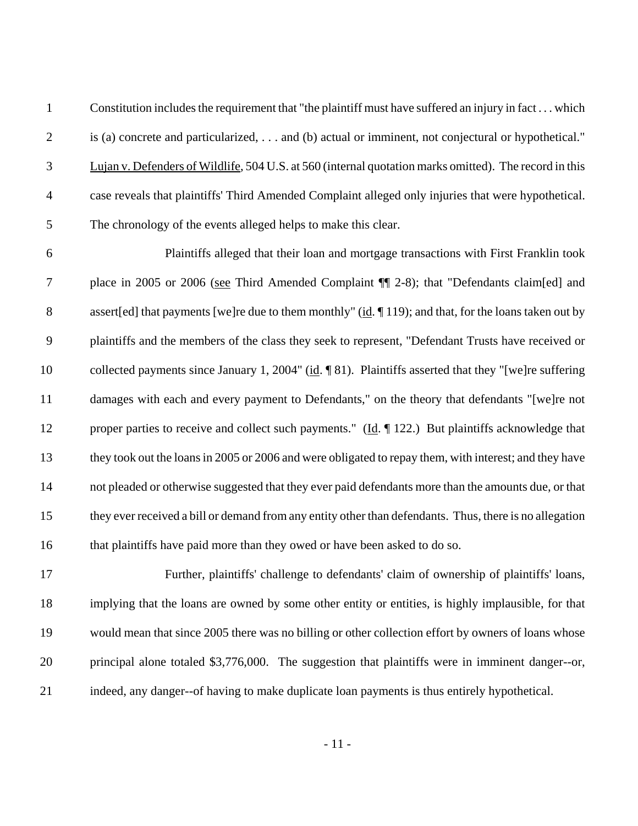Constitution includes the requirement that "the plaintiff must have suffered an injury in fact . . . which is (a) concrete and particularized, . . . and (b) actual or imminent, not conjectural or hypothetical." Lujan v. Defenders of Wildlife, 504 U.S. at 560 (internal quotation marks omitted). The record in this case reveals that plaintiffs' Third Amended Complaint alleged only injuries that were hypothetical. The chronology of the events alleged helps to make this clear.

 Plaintiffs alleged that their loan and mortgage transactions with First Franklin took place in 2005 or 2006 (see Third Amended Complaint ¶¶ 2-8); that "Defendants claim[ed] and 8 assert[ed] that payments [we]re due to them monthly" (id. ¶ 119); and that, for the loans taken out by plaintiffs and the members of the class they seek to represent, "Defendant Trusts have received or collected payments since January 1, 2004" (id. ¶ 81). Plaintiffs asserted that they "[we]re suffering damages with each and every payment to Defendants," on the theory that defendants "[we]re not 12 proper parties to receive and collect such payments." (Id. ¶ 122.) But plaintiffs acknowledge that they took out the loans in 2005 or 2006 and were obligated to repay them, with interest; and they have not pleaded or otherwise suggested that they ever paid defendants more than the amounts due, or that they ever received a bill or demand from any entity other than defendants. Thus, there is no allegation 16 that plaintiffs have paid more than they owed or have been asked to do so.

 Further, plaintiffs' challenge to defendants' claim of ownership of plaintiffs' loans, implying that the loans are owned by some other entity or entities, is highly implausible, for that would mean that since 2005 there was no billing or other collection effort by owners of loans whose principal alone totaled \$3,776,000. The suggestion that plaintiffs were in imminent danger--or, indeed, any danger--of having to make duplicate loan payments is thus entirely hypothetical.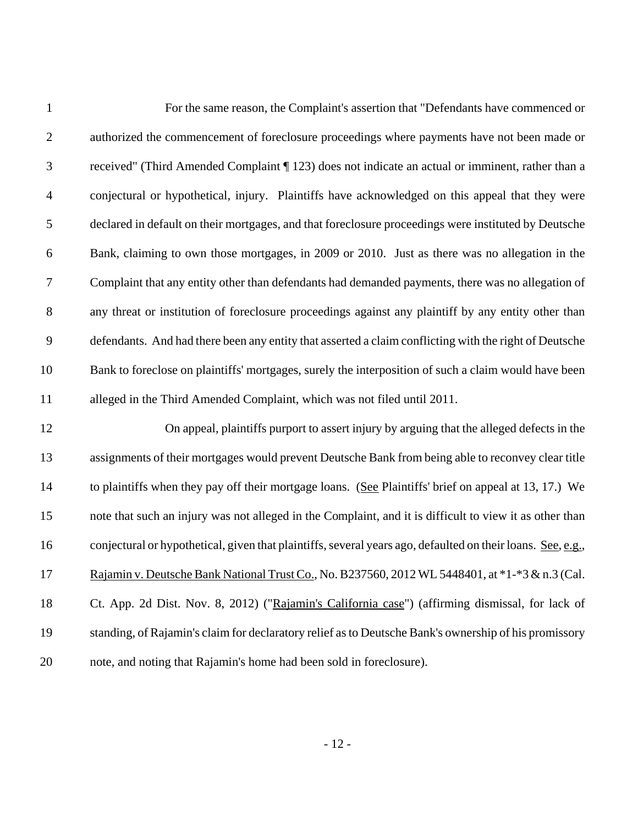| $\mathbf{1}$     | For the same reason, the Complaint's assertion that "Defendants have commenced or                           |
|------------------|-------------------------------------------------------------------------------------------------------------|
| $\mathbf{2}$     | authorized the commencement of foreclosure proceedings where payments have not been made or                 |
| 3                | received" (Third Amended Complaint ¶ 123) does not indicate an actual or imminent, rather than a            |
| $\overline{4}$   | conjectural or hypothetical, injury. Plaintiffs have acknowledged on this appeal that they were             |
| 5                | declared in default on their mortgages, and that foreclosure proceedings were instituted by Deutsche        |
| 6                | Bank, claiming to own those mortgages, in 2009 or 2010. Just as there was no allegation in the              |
| $\boldsymbol{7}$ | Complaint that any entity other than defendants had demanded payments, there was no allegation of           |
| $8\,$            | any threat or institution of foreclosure proceedings against any plaintiff by any entity other than         |
| 9                | defendants. And had there been any entity that asserted a claim conflicting with the right of Deutsche      |
| 10               | Bank to foreclose on plaintiffs' mortgages, surely the interposition of such a claim would have been        |
| 11               | alleged in the Third Amended Complaint, which was not filed until 2011.                                     |
| 12               | On appeal, plaintiffs purport to assert injury by arguing that the alleged defects in the                   |
| 13               | assignments of their mortgages would prevent Deutsche Bank from being able to reconvey clear title          |
| 14               | to plaintiffs when they pay off their mortgage loans. (See Plaintiffs' brief on appeal at 13, 17.) We       |
| 15               | note that such an injury was not alleged in the Complaint, and it is difficult to view it as other than     |
| 16               | conjectural or hypothetical, given that plaintiffs, several years ago, defaulted on their loans. See, e.g., |
| 17               | Rajamin v. Deutsche Bank National Trust Co., No. B237560, 2012 WL 5448401, at *1-*3 & n.3 (Cal.             |
| 18               | Ct. App. 2d Dist. Nov. 8, 2012) ("Rajamin's California case") (affirming dismissal, for lack of             |
| 19               | standing, of Rajamin's claim for declaratory relief as to Deutsche Bank's ownership of his promissory       |
| 20               | note, and noting that Rajamin's home had been sold in foreclosure).                                         |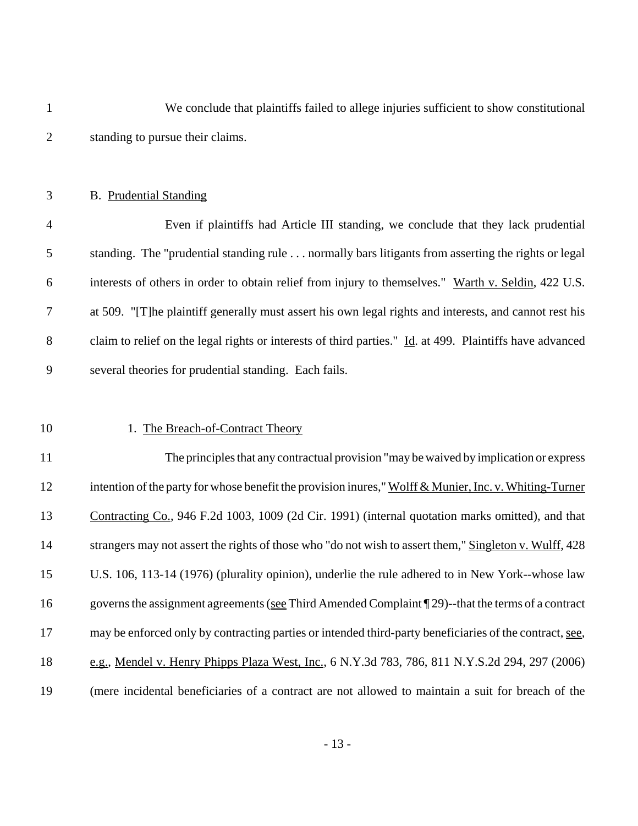| $\mathbf{1}$   | We conclude that plaintiffs failed to allege injuries sufficient to show constitutional                  |
|----------------|----------------------------------------------------------------------------------------------------------|
| $\overline{2}$ | standing to pursue their claims.                                                                         |
|                |                                                                                                          |
| 3              | <b>B.</b> Prudential Standing                                                                            |
| $\overline{4}$ | Even if plaintiffs had Article III standing, we conclude that they lack prudential                       |
| 5              | standing. The "prudential standing rule normally bars litigants from asserting the rights or legal       |
| 6              | interests of others in order to obtain relief from injury to themselves." Warth v. Seldin, 422 U.S.      |
| 7              | at 509. "[T] he plaintiff generally must assert his own legal rights and interests, and cannot rest his  |
| 8              | claim to relief on the legal rights or interests of third parties." Id. at 499. Plaintiffs have advanced |
| 9              | several theories for prudential standing. Each fails.                                                    |
|                |                                                                                                          |
| 10             | 1. The Breach-of-Contract Theory                                                                         |
| 11             | The principles that any contractual provision "may be waived by implication or express                   |
| 12             | intention of the party for whose benefit the provision inures," Wolff & Munier, Inc. v. Whiting-Turner   |
| 13             | Contracting Co., 946 F.2d 1003, 1009 (2d Cir. 1991) (internal quotation marks omitted), and that         |
| 14             | strangers may not assert the rights of those who "do not wish to assert them," Singleton v. Wulff, 428   |
| 15             | U.S. 106, 113-14 (1976) (plurality opinion), underlie the rule adhered to in New York--whose law         |
| 16             | governs the assignment agreements (see Third Amended Complaint $\P$ 29)-that the terms of a contract     |
| 17             | may be enforced only by contracting parties or intended third-party beneficiaries of the contract, see,  |
| 18             | e.g., Mendel v. Henry Phipps Plaza West, Inc., 6 N.Y.3d 783, 786, 811 N.Y.S.2d 294, 297 (2006)           |
| 19             | (mere incidental beneficiaries of a contract are not allowed to maintain a suit for breach of the        |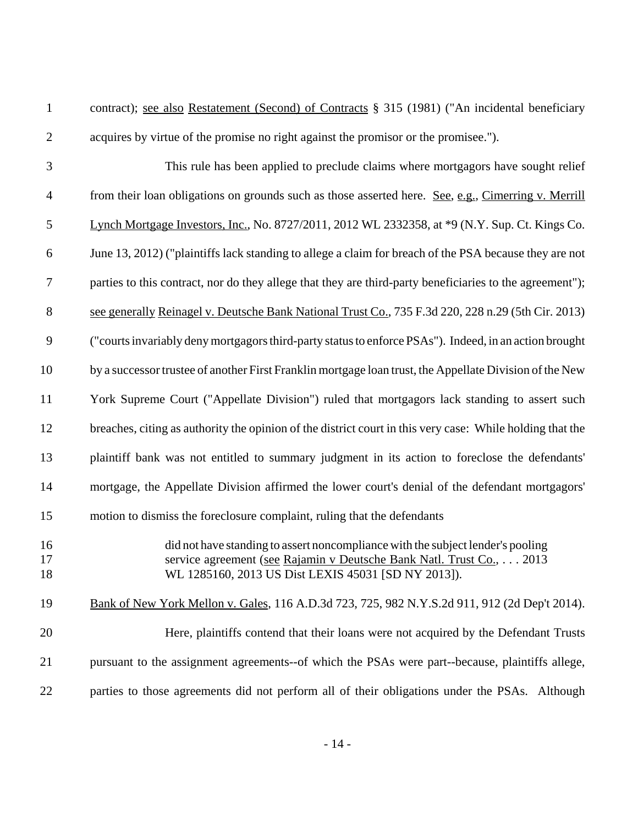contract); see also Restatement (Second) of Contracts § 315 (1981) ("An incidental beneficiary acquires by virtue of the promise no right against the promisor or the promisee.").

- This rule has been applied to preclude claims where mortgagors have sought relief from their loan obligations on grounds such as those asserted here. See, e.g., Cimerring v. Merrill Lynch Mortgage Investors, Inc., No. 8727/2011, 2012 WL 2332358, at \*9 (N.Y. Sup. Ct. Kings Co. June 13, 2012) ("plaintiffs lack standing to allege a claim for breach of the PSA because they are not parties to this contract, nor do they allege that they are third-party beneficiaries to the agreement"); see generally Reinagel v. Deutsche Bank National Trust Co., 735 F.3d 220, 228 n.29 (5th Cir. 2013) ("courts invariably deny mortgagors third-party status to enforce PSAs"). Indeed, in an action brought by a successor trustee of another First Franklin mortgage loan trust, the Appellate Division of the New York Supreme Court ("Appellate Division") ruled that mortgagors lack standing to assert such breaches, citing as authority the opinion of the district court in this very case: While holding that the plaintiff bank was not entitled to summary judgment in its action to foreclose the defendants' mortgage, the Appellate Division affirmed the lower court's denial of the defendant mortgagors' motion to dismiss the foreclosure complaint, ruling that the defendants did not have standing to assert noncompliance with the subject lender's pooling service agreement (see Rajamin v Deutsche Bank Natl. Trust Co., . . . 2013 WL 1285160, 2013 US Dist LEXIS 45031 [SD NY 2013]). Bank of New York Mellon v. Gales, 116 A.D.3d 723, 725, 982 N.Y.S.2d 911, 912 (2d Dep't 2014). Here, plaintiffs contend that their loans were not acquired by the Defendant Trusts
- parties to those agreements did not perform all of their obligations under the PSAs. Although

pursuant to the assignment agreements--of which the PSAs were part--because, plaintiffs allege,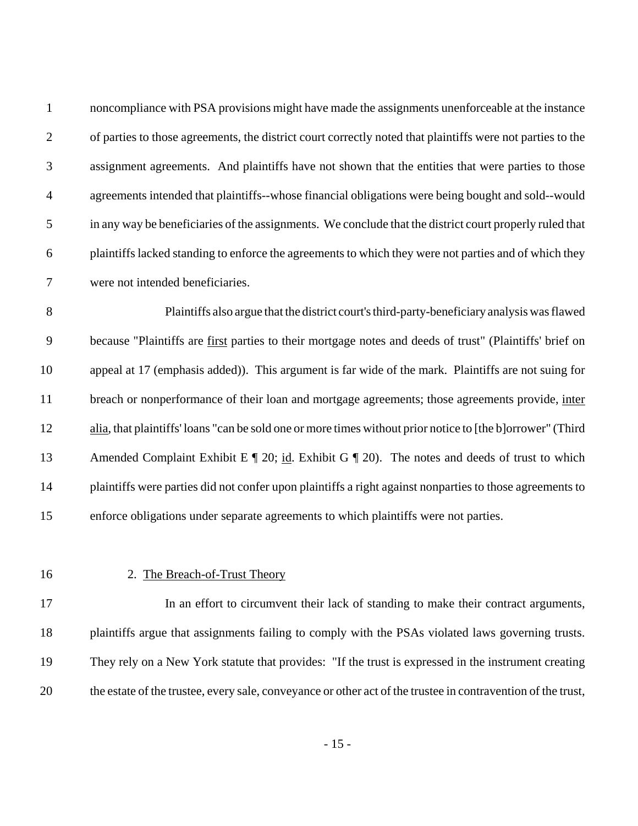| $\mathbf{1}$   | noncompliance with PSA provisions might have made the assignments unenforceable at the instance            |
|----------------|------------------------------------------------------------------------------------------------------------|
| 2              | of parties to those agreements, the district court correctly noted that plaintiffs were not parties to the |
| 3              | assignment agreements. And plaintiffs have not shown that the entities that were parties to those          |
| $\overline{4}$ | agreements intended that plaintiffs--whose financial obligations were being bought and sold--would         |
| $\overline{5}$ | in any way be beneficiaries of the assignments. We conclude that the district court properly ruled that    |
| 6              | plaintiffs lacked standing to enforce the agreements to which they were not parties and of which they      |
| 7              | were not intended beneficiaries.                                                                           |

 Plaintiffs also argue that the district court's third-party-beneficiary analysis was flawed because "Plaintiffs are first parties to their mortgage notes and deeds of trust" (Plaintiffs' brief on appeal at 17 (emphasis added)). This argument is far wide of the mark. Plaintiffs are not suing for 11 breach or nonperformance of their loan and mortgage agreements; those agreements provide, inter alia, that plaintiffs' loans "can be sold one or more times without prior notice to [the b]orrower" (Third 13 Amended Complaint Exhibit E ¶ 20; id. Exhibit G ¶ 20). The notes and deeds of trust to which plaintiffs were parties did not confer upon plaintiffs a right against nonparties to those agreements to enforce obligations under separate agreements to which plaintiffs were not parties.

#### 2. The Breach-of-Trust Theory

 In an effort to circumvent their lack of standing to make their contract arguments, plaintiffs argue that assignments failing to comply with the PSAs violated laws governing trusts. They rely on a New York statute that provides: "If the trust is expressed in the instrument creating the estate of the trustee, every sale, conveyance or other act of the trustee in contravention of the trust,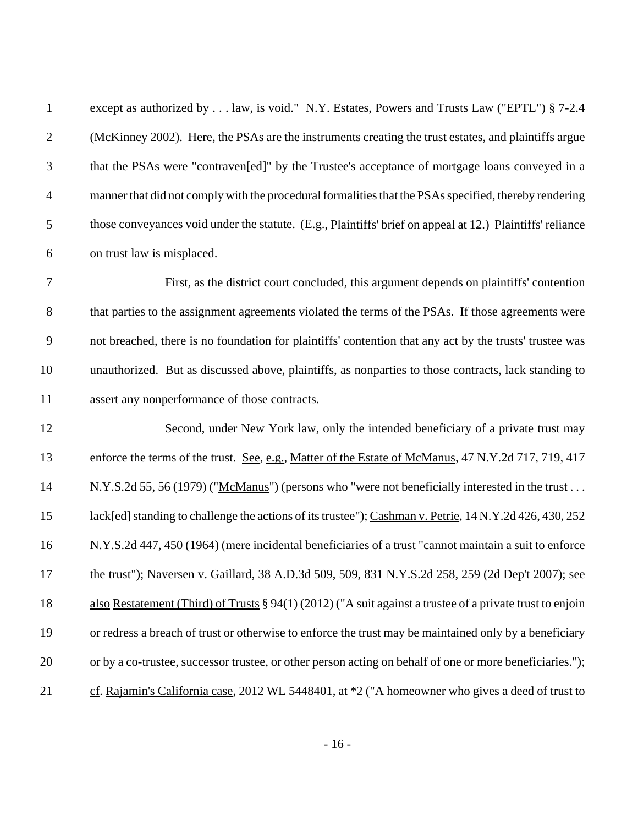| $\mathbf{1}$   | except as authorized by law, is void." N.Y. Estates, Powers and Trusts Law ("EPTL") § 7-2.4                  |
|----------------|--------------------------------------------------------------------------------------------------------------|
| $\mathbf{2}$   | (McKinney 2002). Here, the PSAs are the instruments creating the trust estates, and plaintiffs argue         |
| $\mathfrak{Z}$ | that the PSAs were "contraven[ed]" by the Trustee's acceptance of mortgage loans conveyed in a               |
| $\overline{4}$ | manner that did not comply with the procedural formalities that the PSAs specified, thereby rendering        |
| 5              | those conveyances void under the statute. $(E.g.,$ Plaintiffs' brief on appeal at 12.) Plaintiffs' reliance  |
| 6              | on trust law is misplaced.                                                                                   |
| $\tau$         | First, as the district court concluded, this argument depends on plaintiffs' contention                      |
| $8\,$          | that parties to the assignment agreements violated the terms of the PSAs. If those agreements were           |
| 9              | not breached, there is no foundation for plaintiffs' contention that any act by the trusts' trustee was      |
| 10             | unauthorized. But as discussed above, plaintiffs, as nonparties to those contracts, lack standing to         |
| 11             | assert any nonperformance of those contracts.                                                                |
| 12             | Second, under New York law, only the intended beneficiary of a private trust may                             |
| 13             | enforce the terms of the trust. See, e.g., Matter of the Estate of McManus, 47 N.Y.2d 717, 719, 417          |
| 14             | N.Y.S.2d 55, 56 (1979) ("McManus") (persons who "were not beneficially interested in the trust               |
| 15             | lack[ed] standing to challenge the actions of its trustee"); Cashman v. Petrie, 14 N.Y.2d 426, 430, 252      |
| 16             | N.Y.S.2d 447, 450 (1964) (mere incidental beneficiaries of a trust "cannot maintain a suit to enforce        |
| 17             | the trust"); Naversen v. Gaillard, 38 A.D.3d 509, 509, 831 N.Y.S.2d 258, 259 (2d Dep't 2007); see            |
| 18             | also Restatement (Third) of Trusts $\S 94(1) (2012)$ ("A suit against a trustee of a private trust to enjoin |
| 19             | or redress a breach of trust or otherwise to enforce the trust may be maintained only by a beneficiary       |
| 20             | or by a co-trustee, successor trustee, or other person acting on behalf of one or more beneficiaries.");     |
| 21             | cf. Rajamin's California case, 2012 WL 5448401, at *2 ("A homeowner who gives a deed of trust to             |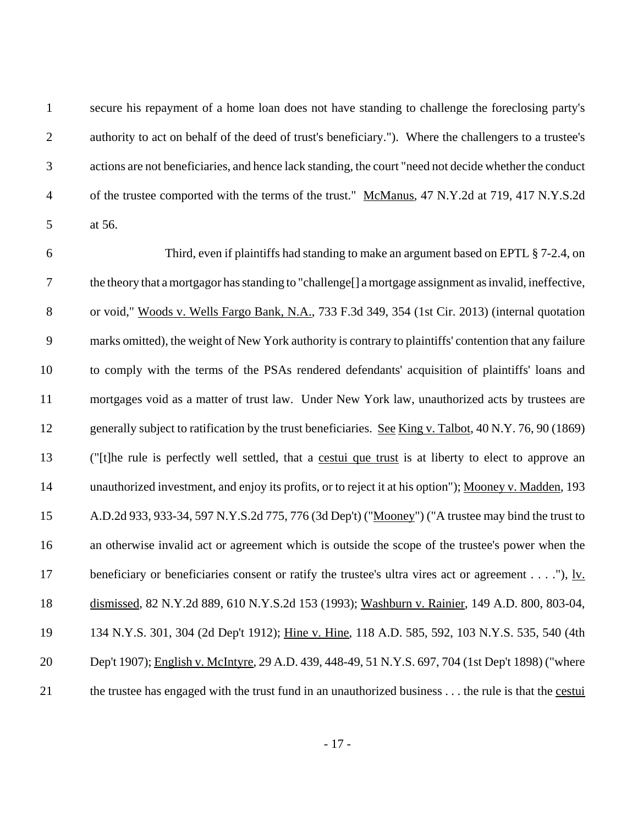secure his repayment of a home loan does not have standing to challenge the foreclosing party's authority to act on behalf of the deed of trust's beneficiary."). Where the challengers to a trustee's actions are not beneficiaries, and hence lack standing, the court "need not decide whether the conduct of the trustee comported with the terms of the trust." McManus, 47 N.Y.2d at 719, 417 N.Y.S.2d at 56.

 Third, even if plaintiffs had standing to make an argument based on EPTL § 7-2.4, on the theory that a mortgagor has standing to "challenge[] a mortgage assignment as invalid, ineffective, 8 or void," Woods v. Wells Fargo Bank, N.A., 733 F.3d 349, 354 (1st Cir. 2013) (internal quotation marks omitted), the weight of New York authority is contrary to plaintiffs' contention that any failure to comply with the terms of the PSAs rendered defendants' acquisition of plaintiffs' loans and mortgages void as a matter of trust law. Under New York law, unauthorized acts by trustees are 12 generally subject to ratification by the trust beneficiaries. See King v. Talbot, 40 N.Y. 76, 90 (1869) ("[t]he rule is perfectly well settled, that a cestui que trust is at liberty to elect to approve an unauthorized investment, and enjoy its profits, or to reject it at his option"); Mooney v. Madden, 193 A.D.2d 933, 933-34, 597 N.Y.S.2d 775, 776 (3d Dep't) ("Mooney") ("A trustee may bind the trust to an otherwise invalid act or agreement which is outside the scope of the trustee's power when the 17 beneficiary or beneficiaries consent or ratify the trustee's ultra vires act or agreement . . . ."), lv. dismissed, 82 N.Y.2d 889, 610 N.Y.S.2d 153 (1993); Washburn v. Rainier, 149 A.D. 800, 803-04, 134 N.Y.S. 301, 304 (2d Dep't 1912); Hine v. Hine, 118 A.D. 585, 592, 103 N.Y.S. 535, 540 (4th Dep't 1907); English v. McIntyre, 29 A.D. 439, 448-49, 51 N.Y.S. 697, 704 (1st Dep't 1898) ("where the trustee has engaged with the trust fund in an unauthorized business . . . the rule is that the cestui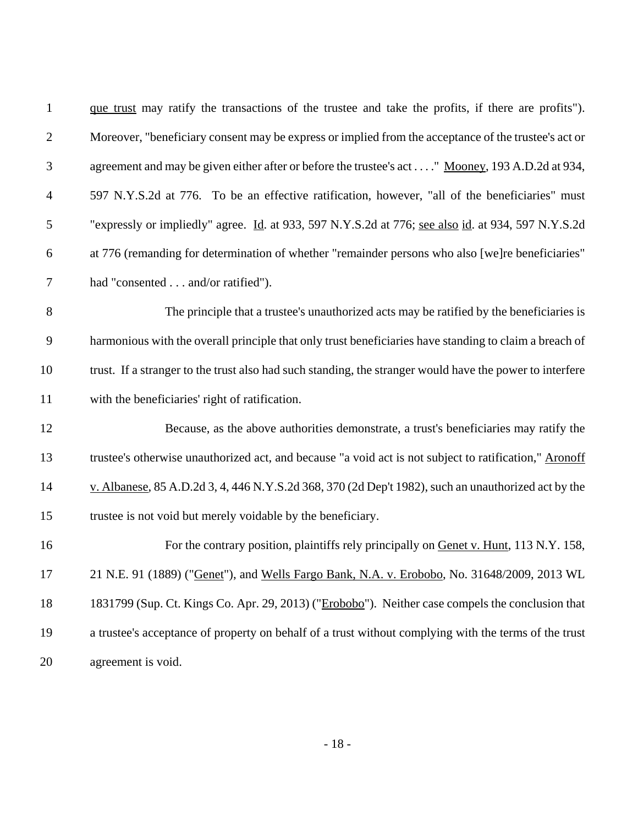| $\mathbf{1}$   | que trust may ratify the transactions of the trustee and take the profits, if there are profits").       |
|----------------|----------------------------------------------------------------------------------------------------------|
| $\overline{2}$ | Moreover, "beneficiary consent may be express or implied from the acceptance of the trustee's act or     |
| 3              | agreement and may be given either after or before the trustee's act" Mooney, 193 A.D.2d at 934,          |
| $\overline{4}$ | 597 N.Y.S.2d at 776. To be an effective ratification, however, "all of the beneficiaries" must           |
| 5              | "expressly or impliedly" agree. Id. at 933, 597 N.Y.S.2d at 776; see also id. at 934, 597 N.Y.S.2d       |
| 6              | at 776 (remanding for determination of whether "remainder persons who also [we]re beneficiaries"         |
| $\tau$         | had "consented and/or ratified").                                                                        |
| $8\,$          | The principle that a trustee's unauthorized acts may be ratified by the beneficiaries is                 |
| $\overline{9}$ | harmonious with the overall principle that only trust beneficiaries have standing to claim a breach of   |
| 10             | trust. If a stranger to the trust also had such standing, the stranger would have the power to interfere |
| 11             | with the beneficiaries' right of ratification.                                                           |
| 12             | Because, as the above authorities demonstrate, a trust's beneficiaries may ratify the                    |
| 13             | trustee's otherwise unauthorized act, and because "a void act is not subject to ratification," Aronoff   |
| 14             | v. Albanese, 85 A.D.2d 3, 4, 446 N.Y.S.2d 368, 370 (2d Dep't 1982), such an unauthorized act by the      |
| 15             | trustee is not void but merely voidable by the beneficiary.                                              |
| 16             | For the contrary position, plaintiffs rely principally on Genet v. Hunt, 113 N.Y. 158,                   |
| 17             | 21 N.E. 91 (1889) ("Genet"), and Wells Fargo Bank, N.A. v. Erobobo, No. 31648/2009, 2013 WL              |
| 18             | 1831799 (Sup. Ct. Kings Co. Apr. 29, 2013) ("Erobobo"). Neither case compels the conclusion that         |
| 19             | a trustee's acceptance of property on behalf of a trust without complying with the terms of the trust    |
| 20             | agreement is void.                                                                                       |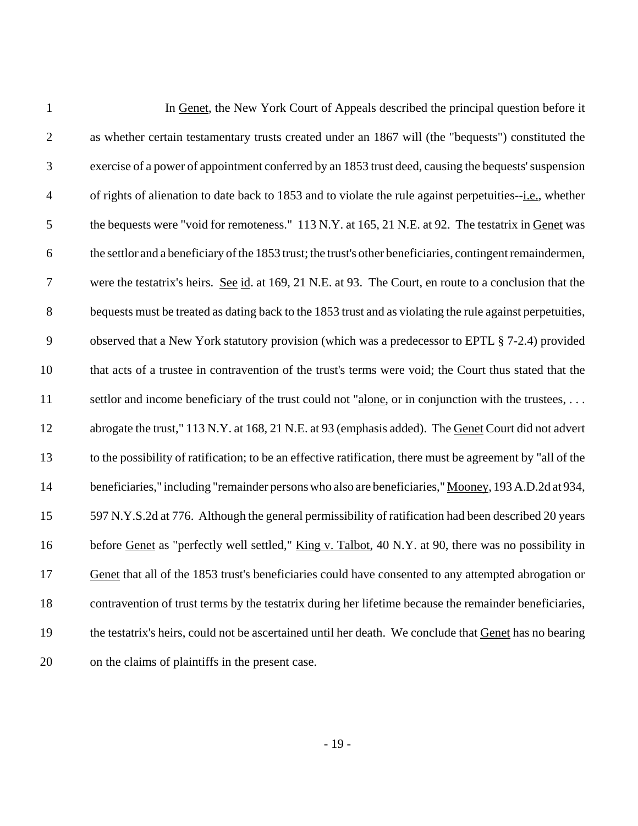| $\mathbf{1}$     | In Genet, the New York Court of Appeals described the principal question before it                          |
|------------------|-------------------------------------------------------------------------------------------------------------|
| $\overline{2}$   | as whether certain testamentary trusts created under an 1867 will (the "bequests") constituted the          |
| 3                | exercise of a power of appointment conferred by an 1853 trust deed, causing the bequests' suspension        |
| $\overline{4}$   | of rights of alienation to date back to 1853 and to violate the rule against perpetuities--i.e., whether    |
| 5                | the bequests were "void for remoteness." 113 N.Y. at 165, 21 N.E. at 92. The testatrix in Genet was         |
| 6                | the settlor and a beneficiary of the 1853 trust; the trust's other beneficiaries, contingent remaindermen,  |
| $\tau$           | were the testatrix's heirs. See id. at 169, 21 N.E. at 93. The Court, en route to a conclusion that the     |
| 8                | bequests must be treated as dating back to the 1853 trust and as violating the rule against perpetuities,   |
| $\boldsymbol{9}$ | observed that a New York statutory provision (which was a predecessor to EPTL § 7-2.4) provided             |
| 10               | that acts of a trustee in contravention of the trust's terms were void; the Court thus stated that the      |
| 11               | settlor and income beneficiary of the trust could not "alone, or in conjunction with the trustees,          |
| 12               | abrogate the trust," 113 N.Y. at 168, 21 N.E. at 93 (emphasis added). The Genet Court did not advert        |
| 13               | to the possibility of ratification; to be an effective ratification, there must be agreement by "all of the |
| 14               | beneficiaries," including "remainder persons who also are beneficiaries," Mooney, 193 A.D.2d at 934,        |
| 15               | 597 N.Y.S.2d at 776. Although the general permissibility of ratification had been described 20 years        |
| 16               | before Genet as "perfectly well settled," King v. Talbot, 40 N.Y. at 90, there was no possibility in        |
| 17               | Genet that all of the 1853 trust's beneficiaries could have consented to any attempted abrogation or        |
| 18               | contravention of trust terms by the testatrix during her lifetime because the remainder beneficiaries,      |
| 19               | the testatrix's heirs, could not be ascertained until her death. We conclude that Genet has no bearing      |
| 20               | on the claims of plaintiffs in the present case.                                                            |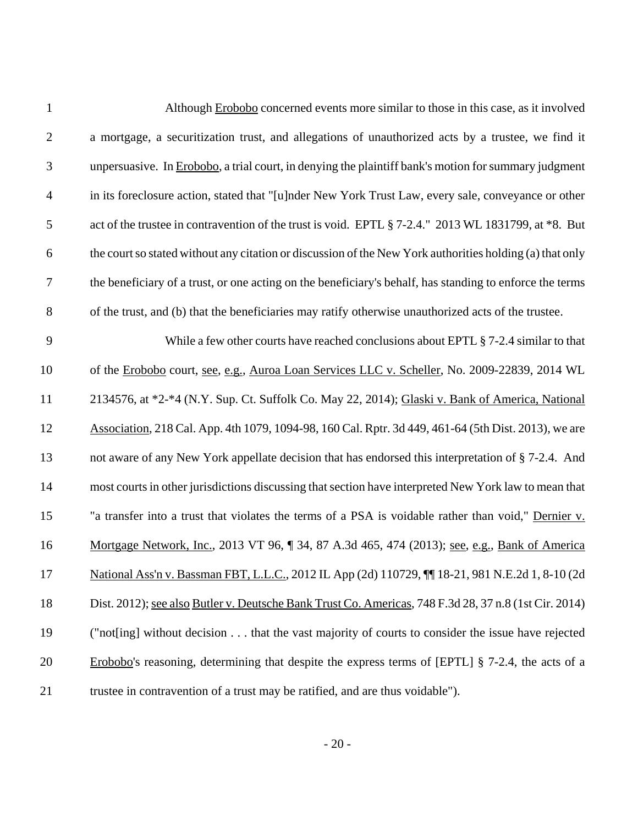| $\mathbf{1}$     | Although Erobobo concerned events more similar to those in this case, as it involved                     |
|------------------|----------------------------------------------------------------------------------------------------------|
| $\mathbf{2}$     | a mortgage, a securitization trust, and allegations of unauthorized acts by a trustee, we find it        |
| $\mathfrak{Z}$   | unpersuasive. In Erobobo, a trial court, in denying the plaintiff bank's motion for summary judgment     |
| $\overline{4}$   | in its foreclosure action, stated that "[u]nder New York Trust Law, every sale, conveyance or other      |
| $\sqrt{5}$       | act of the trustee in contravention of the trust is void. EPTL § 7-2.4." 2013 WL 1831799, at *8. But     |
| $\boldsymbol{6}$ | the court so stated without any citation or discussion of the New York authorities holding (a) that only |
| $\boldsymbol{7}$ | the beneficiary of a trust, or one acting on the beneficiary's behalf, has standing to enforce the terms |
| $8\,$            | of the trust, and (b) that the beneficiaries may ratify otherwise unauthorized acts of the trustee.      |
| 9                | While a few other courts have reached conclusions about EPTL § 7-2.4 similar to that                     |
| 10               | of the Erobobo court, see, e.g., Auroa Loan Services LLC v. Scheller, No. 2009-22839, 2014 WL            |
| 11               | 2134576, at *2-*4 (N.Y. Sup. Ct. Suffolk Co. May 22, 2014); Glaski v. Bank of America, National          |
| 12               | Association, 218 Cal. App. 4th 1079, 1094-98, 160 Cal. Rptr. 3d 449, 461-64 (5th Dist. 2013), we are     |
| 13               | not aware of any New York appellate decision that has endorsed this interpretation of § 7-2.4. And       |
| 14               | most courts in other jurisdictions discussing that section have interpreted New York law to mean that    |
| 15               | "a transfer into a trust that violates the terms of a PSA is voidable rather than void," Dernier v.      |
| 16               | Mortgage Network, Inc., 2013 VT 96, ¶ 34, 87 A.3d 465, 474 (2013); see, e.g., Bank of America            |
| 17               | National Ass'n v. Bassman FBT, L.L.C., 2012 IL App (2d) 110729, 11 18-21, 981 N.E.2d 1, 8-10 (2d)        |
| 18               | Dist. 2012); see also Butler v. Deutsche Bank Trust Co. Americas, 748 F.3d 28, 37 n.8 (1st Cir. 2014)    |
| 19               | ("not[ing] without decision that the vast majority of courts to consider the issue have rejected         |
| 20               | Erobobo's reasoning, determining that despite the express terms of [EPTL] $\S$ 7-2.4, the acts of a      |
| 21               | trustee in contravention of a trust may be ratified, and are thus voidable").                            |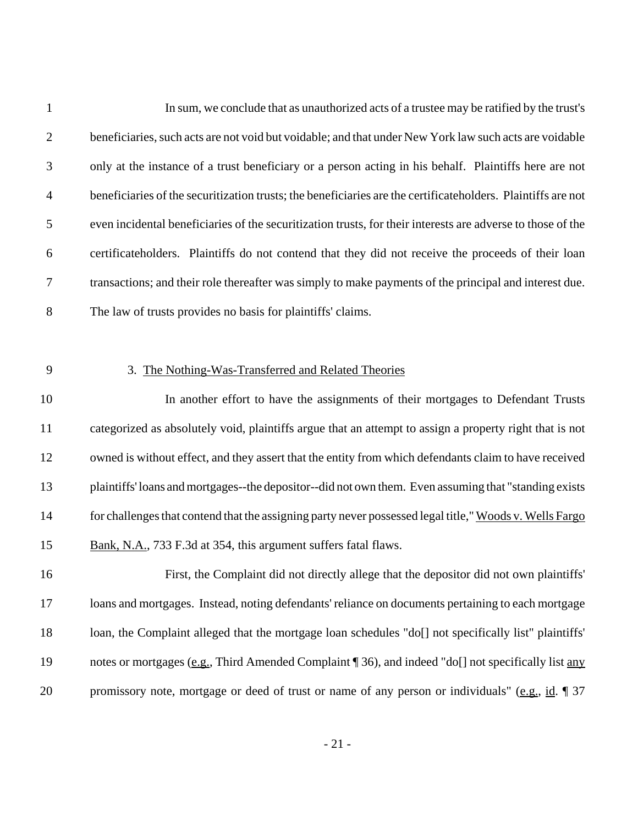| $\mathbf{1}$   | In sum, we conclude that as unauthorized acts of a trustee may be ratified by the trust's                     |
|----------------|---------------------------------------------------------------------------------------------------------------|
| $\mathfrak{2}$ | beneficiaries, such acts are not void but voidable; and that under New York law such acts are voidable        |
| 3              | only at the instance of a trust beneficiary or a person acting in his behalf. Plaintiffs here are not         |
| 4              | beneficiaries of the securitization trusts; the beneficiaries are the certificate holders. Plaintiffs are not |
| 5              | even incidental beneficiaries of the securitization trusts, for their interests are adverse to those of the   |
| 6              | certificateholders. Plaintiffs do not contend that they did not receive the proceeds of their loan            |
| $\tau$         | transactions; and their role thereafter was simply to make payments of the principal and interest due.        |
| $8\,$          | The law of trusts provides no basis for plaintiffs' claims.                                                   |
|                |                                                                                                               |
| 9              | 3. The Nothing-Was-Transferred and Related Theories                                                           |
| 10             | In another effort to have the assignments of their mortgages to Defendant Trusts                              |
| 11             | categorized as absolutely void, plaintiffs argue that an attempt to assign a property right that is not       |
| 12             | owned is without effect, and they assert that the entity from which defendants claim to have received         |
| 13             | plaintiffs' loans and mortgages--the depositor--did not own them. Even assuming that "standing exists         |
| 14             | for challenges that contend that the assigning party never possessed legal title," Woods v. Wells Fargo       |
| 15             | Bank, N.A., 733 F.3d at 354, this argument suffers fatal flaws.                                               |
| 16             | First, the Complaint did not directly allege that the depositor did not own plaintiffs'                       |
| 17             | loans and mortgages. Instead, noting defendants' reliance on documents pertaining to each mortgage            |
| 18             | loan, the Complaint alleged that the mortgage loan schedules "do[] not specifically list" plaintiffs'         |
| 19             | notes or mortgages (e.g., Third Amended Complaint 136), and indeed "do[] not specifically list any            |
| 20             | promissory note, mortgage or deed of trust or name of any person or individuals" (e.g., id. $\parallel$ 37    |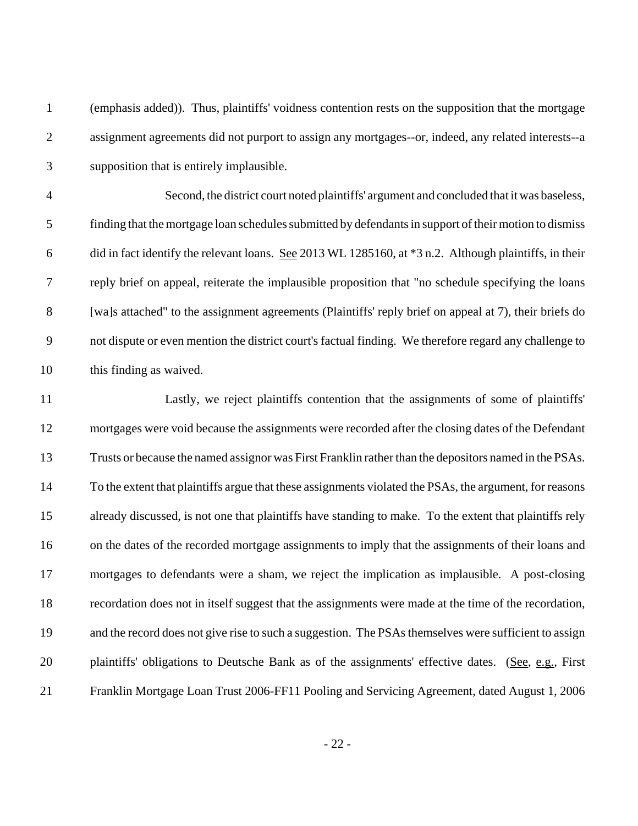| $\mathbf{1}$   | (emphasis added)). Thus, plaintiffs' voidness contention rests on the supposition that the mortgage     |
|----------------|---------------------------------------------------------------------------------------------------------|
| $\overline{2}$ | assignment agreements did not purport to assign any mortgages--or, indeed, any related interests--a     |
| 3              | supposition that is entirely implausible.                                                               |
| $\overline{4}$ | Second, the district court noted plaintiffs' argument and concluded that it was baseless,               |
| 5              | finding that the mortgage loan schedules submitted by defendants in support of their motion to dismiss  |
| 6              | did in fact identify the relevant loans. See 2013 WL 1285160, at *3 n.2. Although plaintiffs, in their  |
| 7              | reply brief on appeal, reiterate the implausible proposition that "no schedule specifying the loans     |
| $8\,$          | [wa]s attached" to the assignment agreements (Plaintiffs' reply brief on appeal at 7), their briefs do  |
| 9              | not dispute or even mention the district court's factual finding. We therefore regard any challenge to  |
| 10             | this finding as waived.                                                                                 |
| 11             | Lastly, we reject plaintiffs contention that the assignments of some of plaintiffs'                     |
| 12             | mortgages were void because the assignments were recorded after the closing dates of the Defendant      |
| 13             | Trusts or because the named assignor was First Franklin rather than the depositors named in the PSAs.   |
| 14             | To the extent that plaintiffs argue that these assignments violated the PSAs, the argument, for reasons |
| 15             | already discussed, is not one that plaintiffs have standing to make. To the extent that plaintiffs rely |
| 16             | on the dates of the recorded mortgage assignments to imply that the assignments of their loans and      |
| 17             | mortgages to defendants were a sham, we reject the implication as implausible. A post-closing           |
| 18             | recordation does not in itself suggest that the assignments were made at the time of the recordation,   |
| 19             | and the record does not give rise to such a suggestion. The PSAs themselves were sufficient to assign   |
| 20             | plaintiffs' obligations to Deutsche Bank as of the assignments' effective dates. (See, e.g., First      |
| 21             | Franklin Mortgage Loan Trust 2006-FF11 Pooling and Servicing Agreement, dated August 1, 2006            |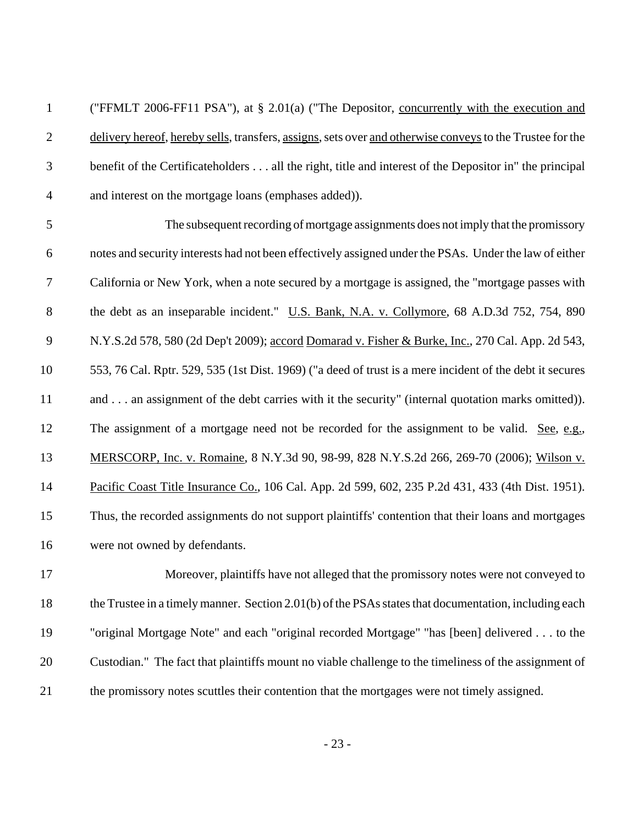("FFMLT 2006-FF11 PSA"), at § 2.01(a) ("The Depositor, concurrently with the execution and 2 delivery hereof, hereby sells, transfers, assigns, sets over and otherwise conveys to the Trustee for the benefit of the Certificateholders . . . all the right, title and interest of the Depositor in" the principal and interest on the mortgage loans (emphases added)).

 The subsequent recording of mortgage assignments does not imply that the promissory notes and security interests had not been effectively assigned under the PSAs. Under the law of either California or New York, when a note secured by a mortgage is assigned, the "mortgage passes with 8 the debt as an inseparable incident." U.S. Bank, N.A. v. Collymore, 68 A.D.3d 752, 754, 890 N.Y.S.2d 578, 580 (2d Dep't 2009); accord Domarad v. Fisher & Burke, Inc., 270 Cal. App. 2d 543, 553, 76 Cal. Rptr. 529, 535 (1st Dist. 1969) ("a deed of trust is a mere incident of the debt it secures and . . . an assignment of the debt carries with it the security" (internal quotation marks omitted)). 12 The assignment of a mortgage need not be recorded for the assignment to be valid. See, e.g., MERSCORP, Inc. v. Romaine, 8 N.Y.3d 90, 98-99, 828 N.Y.S.2d 266, 269-70 (2006); Wilson v. 14 Pacific Coast Title Insurance Co., 106 Cal. App. 2d 599, 602, 235 P.2d 431, 433 (4th Dist. 1951). Thus, the recorded assignments do not support plaintiffs' contention that their loans and mortgages were not owned by defendants.

 Moreover, plaintiffs have not alleged that the promissory notes were not conveyed to 18 the Trustee in a timely manner. Section 2.01(b) of the PSAs states that documentation, including each "original Mortgage Note" and each "original recorded Mortgage" "has [been] delivered . . . to the Custodian." The fact that plaintiffs mount no viable challenge to the timeliness of the assignment of the promissory notes scuttles their contention that the mortgages were not timely assigned.